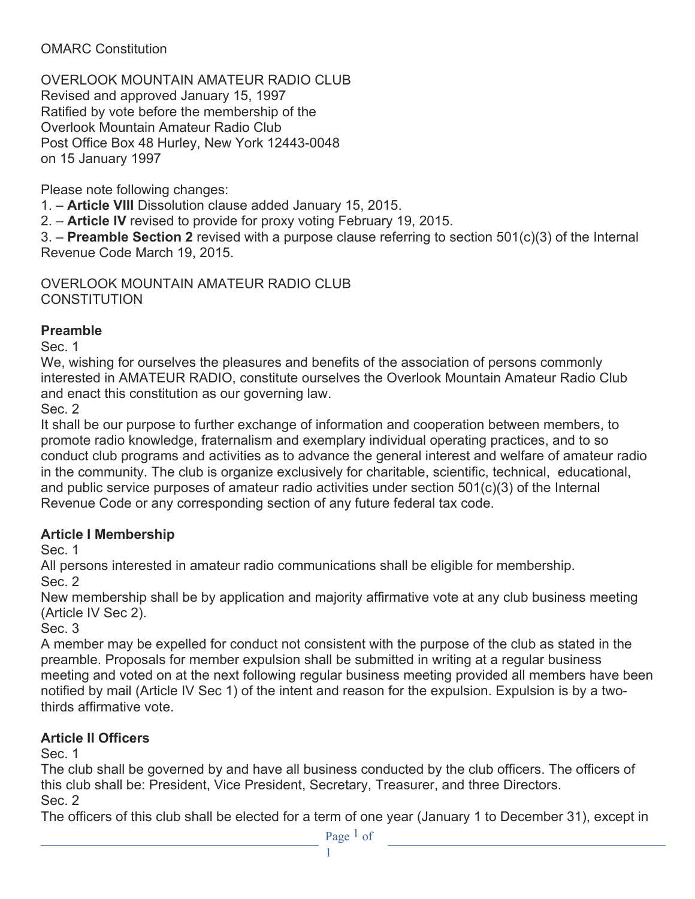#### OMARC Constitution

OVERLOOK MOUNTAIN AMATEUR RADIO CLUB Revised and approved January 15, 1997 Ratified by vote before the membership of the Overlook Mountain Amateur Radio Club Post Office Box 48 Hurley, New York 12443-0048 on 15 January 1997

Please note following changes:

1. – **Article VIII** Dissolution clause added January 15, 2015.

2. – **Article IV** revised to provide for proxy voting February 19, 2015.

3. – **Preamble Section 2** revised with a purpose clause referring to section 501(c)(3) of the Internal Revenue Code March 19, 2015.

OVERLOOK MOUNTAIN AMATEUR RADIO CLUB **CONSTITUTION** 

#### **Preamble**

Sec. 1

We, wishing for ourselves the pleasures and benefits of the association of persons commonly interested in AMATEUR RADIO, constitute ourselves the Overlook Mountain Amateur Radio Club and enact this constitution as our governing law.

Sec. 2

It shall be our purpose to further exchange of information and cooperation between members, to promote radio knowledge, fraternalism and exemplary individual operating practices, and to so conduct club programs and activities as to advance the general interest and welfare of amateur radio in the community. The club is organize exclusively for charitable, scientific, technical, educational, and public service purposes of amateur radio activities under section 501(c)(3) of the Internal Revenue Code or any corresponding section of any future federal tax code.

### **Article I Membership**

Sec. 1

All persons interested in amateur radio communications shall be eligible for membership. Sec. 2

New membership shall be by application and majority affirmative vote at any club business meeting (Article IV Sec 2).

Sec. 3

A member may be expelled for conduct not consistent with the purpose of the club as stated in the preamble. Proposals for member expulsion shall be submitted in writing at a regular business meeting and voted on at the next following regular business meeting provided all members have been notified by mail (Article IV Sec 1) of the intent and reason for the expulsion. Expulsion is by a twothirds affirmative vote.

# **Article II Officers**

Sec. 1

The club shall be governed by and have all business conducted by the club officers. The officers of this club shall be: President, Vice President, Secretary, Treasurer, and three Directors. Sec. 2

The officers of this club shall be elected for a term of one year (January 1 to December 31), except in

Page 1 of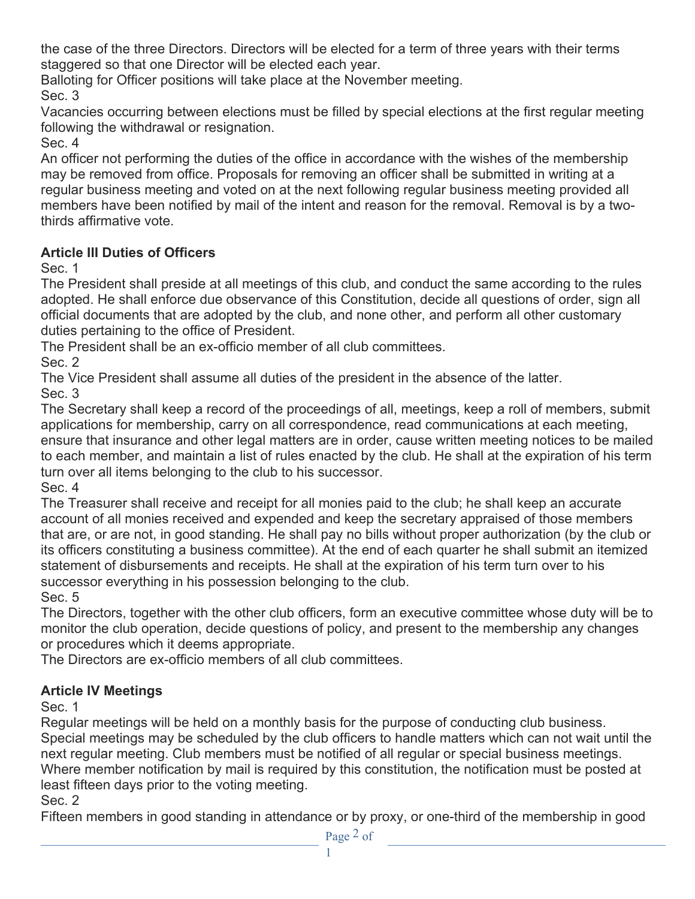the case of the three Directors. Directors will be elected for a term of three years with their terms staggered so that one Director will be elected each year.

Balloting for Officer positions will take place at the November meeting. Sec. 3

Vacancies occurring between elections must be filled by special elections at the first regular meeting following the withdrawal or resignation.

Sec. 4

An officer not performing the duties of the office in accordance with the wishes of the membership may be removed from office. Proposals for removing an officer shall be submitted in writing at a regular business meeting and voted on at the next following regular business meeting provided all members have been notified by mail of the intent and reason for the removal. Removal is by a twothirds affirmative vote.

### **Article III Duties of Officers**

Sec. 1

The President shall preside at all meetings of this club, and conduct the same according to the rules adopted. He shall enforce due observance of this Constitution, decide all questions of order, sign all official documents that are adopted by the club, and none other, and perform all other customary duties pertaining to the office of President.

The President shall be an ex-officio member of all club committees.

Sec. 2

The Vice President shall assume all duties of the president in the absence of the latter. Sec. 3

The Secretary shall keep a record of the proceedings of all, meetings, keep a roll of members, submit applications for membership, carry on all correspondence, read communications at each meeting, ensure that insurance and other legal matters are in order, cause written meeting notices to be mailed to each member, and maintain a list of rules enacted by the club. He shall at the expiration of his term turn over all items belonging to the club to his successor. Sec. 4

The Treasurer shall receive and receipt for all monies paid to the club; he shall keep an accurate account of all monies received and expended and keep the secretary appraised of those members that are, or are not, in good standing. He shall pay no bills without proper authorization (by the club or its officers constituting a business committee). At the end of each quarter he shall submit an itemized statement of disbursements and receipts. He shall at the expiration of his term turn over to his successor everything in his possession belonging to the club.

Sec. 5

The Directors, together with the other club officers, form an executive committee whose duty will be to monitor the club operation, decide questions of policy, and present to the membership any changes or procedures which it deems appropriate.

The Directors are ex-officio members of all club committees.

# **Article IV Meetings**

Sec. 1

Regular meetings will be held on a monthly basis for the purpose of conducting club business. Special meetings may be scheduled by the club officers to handle matters which can not wait until the next regular meeting. Club members must be notified of all regular or special business meetings. Where member notification by mail is required by this constitution, the notification must be posted at least fifteen days prior to the voting meeting.

### Sec. 2

Fifteen members in good standing in attendance or by proxy, or one-third of the membership in good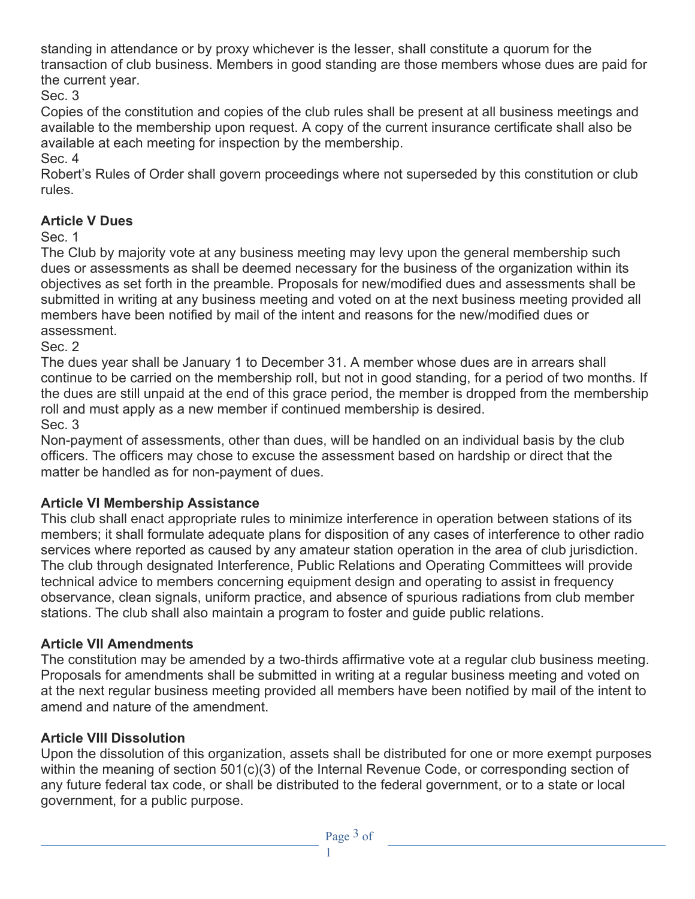standing in attendance or by proxy whichever is the lesser, shall constitute a quorum for the transaction of club business. Members in good standing are those members whose dues are paid for the current year.

Sec. 3

Copies of the constitution and copies of the club rules shall be present at all business meetings and available to the membership upon request. A copy of the current insurance certificate shall also be available at each meeting for inspection by the membership.

Sec. 4

Robert's Rules of Order shall govern proceedings where not superseded by this constitution or club rules.

### **Article V Dues**

Sec. 1

The Club by majority vote at any business meeting may levy upon the general membership such dues or assessments as shall be deemed necessary for the business of the organization within its objectives as set forth in the preamble. Proposals for new/modified dues and assessments shall be submitted in writing at any business meeting and voted on at the next business meeting provided all members have been notified by mail of the intent and reasons for the new/modified dues or assessment.

Sec. 2

The dues year shall be January 1 to December 31. A member whose dues are in arrears shall continue to be carried on the membership roll, but not in good standing, for a period of two months. If the dues are still unpaid at the end of this grace period, the member is dropped from the membership roll and must apply as a new member if continued membership is desired.

Sec. 3

Non-payment of assessments, other than dues, will be handled on an individual basis by the club officers. The officers may chose to excuse the assessment based on hardship or direct that the matter be handled as for non-payment of dues.

# **Article VI Membership Assistance**

This club shall enact appropriate rules to minimize interference in operation between stations of its members; it shall formulate adequate plans for disposition of any cases of interference to other radio services where reported as caused by any amateur station operation in the area of club jurisdiction. The club through designated Interference, Public Relations and Operating Committees will provide technical advice to members concerning equipment design and operating to assist in frequency observance, clean signals, uniform practice, and absence of spurious radiations from club member stations. The club shall also maintain a program to foster and guide public relations.

# **Article VII Amendments**

The constitution may be amended by a two-thirds affirmative vote at a regular club business meeting. Proposals for amendments shall be submitted in writing at a regular business meeting and voted on at the next regular business meeting provided all members have been notified by mail of the intent to amend and nature of the amendment.

### **Article VIII Dissolution**

Upon the dissolution of this organization, assets shall be distributed for one or more exempt purposes within the meaning of section 501(c)(3) of the Internal Revenue Code, or corresponding section of any future federal tax code, or shall be distributed to the federal government, or to a state or local government, for a public purpose.